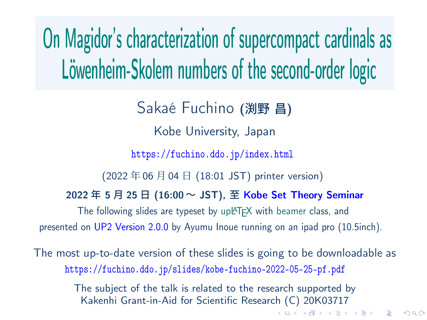# On Magidor's characterization of supercompact cardinals as Löwenheim-Skolem numbers of the second-order logic

Sakaé Fuchino (渕野 昌)

Kobe University, Japan

https://fuchino.ddo.jp/index.html

(2022 年 06 月 04 日 (18:01 JST) printer version)

2022 年 5 月 25 日 (16:00 ~ JST), 至 Kobe Set Theory Seminar

The following slides are typeset by upLATEX with beamer class, and presented on UP2 Version 2.0.0 by Ayumu Inoue running on an ipad pro (10.5inch).

The most up-to-date version of these slides is going to be downloadable as https://fuchino.ddo.jp/slides/kobe-fuchino-2022-05-25-pf.pdf

> The subject of the talk is related to the research supported by Kakenhi Grant-in-Aid for Scientific Research (C) 20K03717

 $\mathcal{A} \otimes \mathcal{B} \rightarrow \mathcal{A} \otimes \mathcal{B} \rightarrow \mathcal{A} \otimes \mathcal{B} \rightarrow \mathcal{A} \otimes \mathcal{B} \rightarrow \mathcal{B} \otimes \mathcal{B} \otimes \mathcal{C} \rightarrow \mathcal{B} \otimes \mathcal{B} \otimes \mathcal{C} \rightarrow \mathcal{B} \otimes \mathcal{B} \otimes \mathcal{C} \rightarrow \mathcal{B} \otimes \mathcal{B} \otimes \mathcal{B} \rightarrow \mathcal{B} \otimes \mathcal{B} \otimes \mathcal{B} \rightarrow \mathcal{B} \otimes \mathcal{B} \otimes \mathcal{$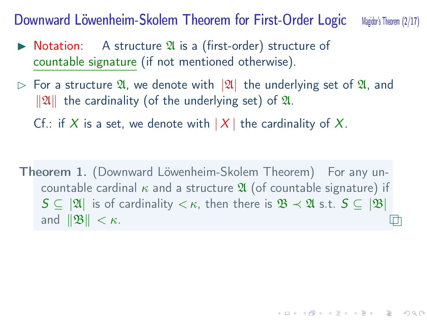Downward Löwenheim-Skolem Theorem for First-Order Logic Magido's Theorem (2/17)

- $\triangleright$  Notation: A structure  $\mathfrak A$  is a (first-order) structure of countable signature (if not mentioned otherwise).
- ▷ For a structure A, we denote with *|*A*|* the underlying set of A, and  $||\mathfrak{A}||$  the cardinality (of the underlying set) of **\x**.
	- Cf.: if *X* is a set, we denote with  $|X|$  the cardinality of *X*.

Theorem 1. (Downward Löwenheim-Skolem Theorem) For any uncountable cardinal  $\kappa$  and a structure  $\mathfrak A$  (of countable signature) if  $S \subseteq |\mathfrak{A}|$  is of cardinality  $\lt \kappa$ , then there is  $\mathfrak{B} \lt \mathfrak{A}$  s.t.  $S \subseteq |\mathfrak{B}|$ and  $||\mathfrak{B}|| < \kappa$ . □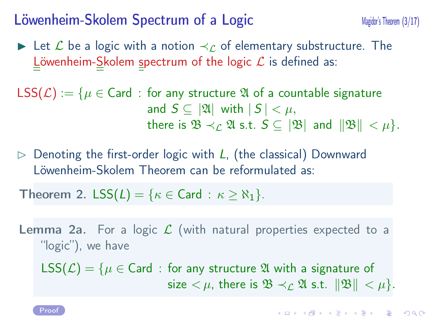#### Löwenheim-Skolem Spectrum of a Logic<br>Magidor's Theorem (3/17)

- ▶ Let *L* be a logic with a notion *≺<sup>L</sup>* of elementary substructure. The Löwenheim-Skolem spectrum of the logic *L* is defined as:
- LSS( $\mathcal{L}$ ) := { $\mu \in \mathsf{Card}$  : for any structure  $\mathfrak A$  of a countable signature and  $S \subseteq |\mathfrak{A}|$  with  $|S| < \mu$ , there is  $\mathfrak{B} \prec_{\mathcal{L}} \mathfrak{A}$  s.t.  $S \subseteq |\mathfrak{B}|$  and  $||\mathfrak{B}|| < \mu$ .
- ▷ Denoting the first-order logic with *L*, (the classical) Downward Löwenheim-Skolem Theorem can be reformulated as:

**Theorem 2.** LSS( $L$ ) = { $\kappa \in$  Card :  $\kappa \ge \aleph_1$ }.

Lemma 2a. For a logic *L* (with natural properties expected to a "logic"), we have

LSS( $\mathcal{L}$ ) = { $\mu \in$  Card : for any structure  $\mathfrak A$  with a signature of size  $< \mu$ , there is  $\mathfrak{B} \prec_{\mathcal{L}} \mathfrak{A}$  s.t.  $\|\mathfrak{B}\| < \mu$ .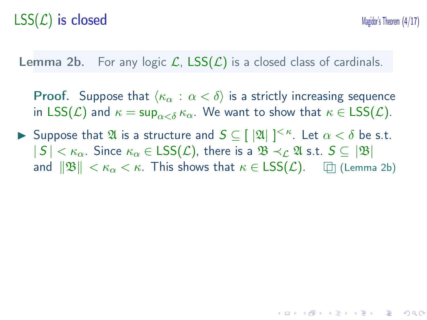## $\text{LSS}(\mathcal{L})$  is closed Magidor's Theorem  $(4/17)$

**Lemma 2b.** For any logic  $\mathcal{L}$ ,  $\text{LSS}(\mathcal{L})$  is a closed class of cardinals.

**Proof.** Suppose that  $\langle \kappa_\alpha : \alpha < \delta \rangle$  is a strictly increasing sequence in  $LSS(\mathcal{L})$  and  $\kappa = \sup_{\alpha < \delta} \kappa_{\alpha}$ . We want to show that  $\kappa \in LSS(\mathcal{L})$ .

▶ Suppose that  $\mathfrak{A}$  is a structure and  $\mathcal{S} \subseteq [ |\mathfrak{A}| ]^{<\kappa}$ . Let  $\alpha < \delta$  be s.t.  $|S| < \kappa_\alpha$ . Since  $\kappa_\alpha \in \textsf{LSS}(\mathcal{L})$ , there is a  $\mathfrak{B} \prec_{\mathcal{L}} \mathfrak{A}$  s.t.  $S \subseteq |\mathfrak{B}|$ and  $||\mathfrak{B}|| < \kappa_\alpha < \kappa$ . This shows that  $\kappa \in \text{LSS}(\mathcal{L})$ .  $\Box$  (Lemma 2b)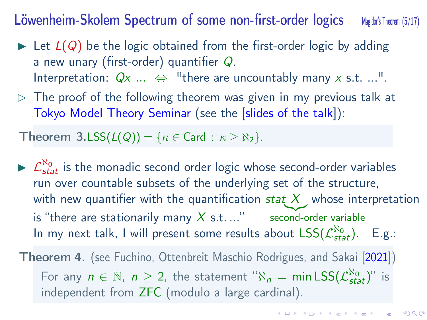Löwenheim-Skolem Spectrum of some non-first-order logics Magidor's Theorem (5/17)

- $\triangleright$  Let  $L(Q)$  be the logic obtained from the first-order logic by adding a new unary (first-order) quantifier *Q*. Interpretation:  $Qx$  ...  $\Leftrightarrow$  "there are uncountably many x s.t. ...".
- $\triangleright$  The proof of the following theorem was given in my previous talk at Tokyo Model Theory Seminar (see the [slides of the talk]):

Theorem  $3.LSS(L(Q)) = \{ \kappa \in Card : \kappa \geq \aleph_2 \}.$ 

 $\triangleright$   $\mathcal{L}^{\aleph_{0}}_{stat}$  is the monadic second order logic whose second-order variables run over countable subsets of the underlying set of the structure, with new quantifier with the quantification  $\mathit{stat} \; X$  , whose interpretation is "there are stationarily many  $X$  s.t. ..." second-order variable In my next talk, I will present some results about  $\text{LSS}(\mathcal{L}^{\text{N}_0}_{\text{stat}})$ . E.g.:

Theorem 4. (see Fuchino, Ottenbreit Maschio Rodrigues, and Sakai [2021]) For any  $n \in \mathbb{N}$ ,  $n \geq 2$ , the statement " $\aleph_n = \min \textsf{LSS}(\mathcal{L}^{\aleph_0}_{\textsf{stat}})$ " is independent from ZFC (modulo a large cardinal).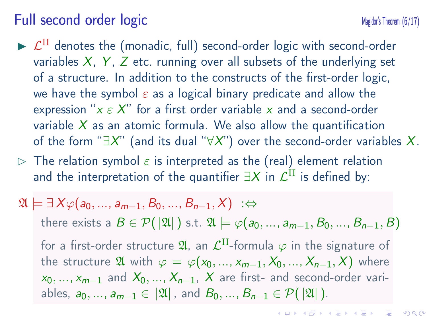#### Full second order logic Magidor's Theorem (6/17)

- $\blacktriangleright$   $\mathcal{L}^{\text{II}}$  denotes the (monadic, full) second-order logic with second-order variables *X*, *Y* , *Z* etc. running over all subsets of the underlying set of a structure. In addition to the constructs of the first-order logic, we have the symbol *ε* as a logical binary predicate and allow the expression "*x ε X*" for a first order variable *x* and a second-order variable *X* as an atomic formula. We also allow the quantification of the form "*∃X*" (and its dual "*∀X*") over the second-order variables *X*.
- $\rhd$  The relation symbol  $\varepsilon$  is interpreted as the (real) element relation and the interpretation of the quantifier  $\exists X$  in  $\mathcal{L}^{\text{II}}$  is defined by:

$$
\mathfrak{A} \models \exists X \varphi(a_0, ..., a_{m-1}, B_0, ..., B_{n-1}, X) \; : \Leftrightarrow
$$
  
\nthere exists a  $B \in \mathcal{P}(\mathfrak{A})$  s.t.  $\mathfrak{A} \models \varphi(a_0, ..., a_{m-1}, B_0, ..., B_{n-1}, B)$   
\nfor a first-order structure  $\mathfrak{A}$ , an  $\mathcal{L}^{\text{II}}$ -formula  $\varphi$  in the signature of  
\nthe structure  $\mathfrak{A}$  with  $\varphi = \varphi(x_0, ..., x_{m-1}, X_0, ..., X_{n-1}, X)$  where  
\n $x_0, ..., x_{m-1}$  and  $X_0, ..., X_{n-1}, X$  are first- and second-order vari-  
\nables,  $a_0, ..., a_{m-1} \in |\mathfrak{A}|$ , and  $B_0, ..., B_{n-1} \in \mathcal{P}(|\mathfrak{A}|)$ .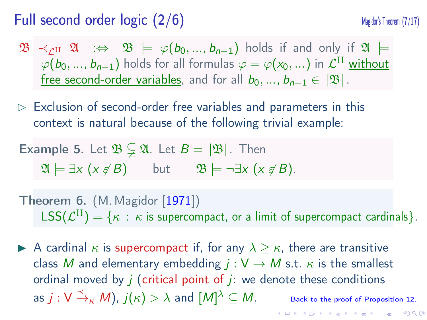#### Full second order logic  $(2/6)$  Magidor's Theorem (7/17)

- $\mathfrak{B} \prec_{\mathcal{L}^{\text{II}}} \mathfrak{A} \Rightarrow \mathfrak{B} \models \varphi(b_0, ..., b_{n-1})$  holds if and only if  $\mathfrak{A} \models$  $\varphi(b_0, ..., b_{n-1})$  holds for all formulas  $\varphi = \varphi(x_0, ...)$  in  $\mathcal{L}^{\text{II}}$  without free second-order variables, and for all  $b_0, ..., b_{n-1} \in |\mathfrak{B}|$ .
- $\triangleright$  Exclusion of second-order free variables and parameters in this context is natural because of the following trivial example:
- **Example 5.** Let  $\mathfrak{B} \subsetneq \mathfrak{A}$ . Let  $B = |\mathfrak{B}|$ . Then  $\mathfrak{A} \models \exists x \ (x \notin B)$  but  $\mathfrak{B} \models \neg \exists x \ (x \notin B).$
- **Theorem 6.** (M. Magidor [1971])  $\mathsf{LSS}(\mathcal{L}^{\text{II}}) = \{\kappa \,:\, \kappa \text{ is supercompact, or a limit of supercompact cardinals}\}.$
- **►** A cardinal  $\kappa$  is supercompact if, for any  $\lambda \geq \kappa$ , there are transitive class *M* and elementary embedding  $j: V \rightarrow M$  s.t.  $\kappa$  is the smallest ordinal moved by  $j$  (critical point of  $j$ : we denote these conditions as  $j: \mathsf{V} \xrightarrow{\prec}_{\kappa} M)$ ,  $j(\kappa) > \lambda$  and  $[M]$ *Back to the proof of Proposition 12.*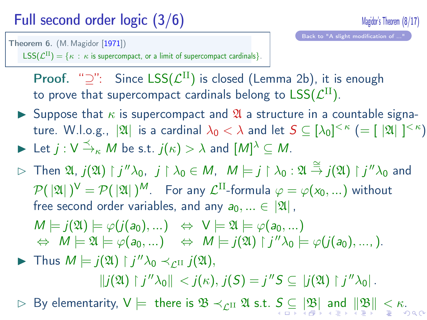### Full second order logic (3/6) Magidor's Theorem (8/17)

Theorem 6. (M. Magidor [1971])

Proof. "<sup>2</sup>": Since LSS( $\mathcal{L}^{II}$ ) is closed (Lemma 2b), it is enough to prove that supercompact cardinals belong to  $\mathsf{LSS}(\mathcal{L}^\text{II}).$ 

- **EXECUTE:** Suppose that  $\kappa$  is supercompact and  $\mathfrak{A}$  a structure in a countable signa- $\text{true. W.l.o.g.,} \|\mathfrak{A}\| \text{ is a cardinal } \lambda_0 < \lambda \text{ and let } \mathcal{S} \subseteq [\lambda_0]^{<\kappa} \ (= [|\mathfrak{A}|]^{<\kappa}).$
- $\blacktriangleright$  Let  $j: V \xrightarrow{\prec} K M$  be s.t.  $j(\kappa) > \lambda$  and  $[M]^{\lambda} \subseteq M$ .

 $\mathsf{LSS}(\mathcal{L}^{\text{II}}) = \{\kappa : \kappa \text{ is supercompact, or a limit of supercompact cardinals}\}.$ 

 $\rhd$  Then  $\mathfrak{A},j(\mathfrak{A})\restriction j''\lambda_0,\ \ j\restriction \lambda_0\in M,\ \ M\models j\restriction \lambda_0:\mathfrak{A}\stackrel{\cong}{\to}j(\mathfrak{A})\restriction j''\lambda_0$  and  $\mathcal{P}(\ |\mathfrak{A}|\ )^{\sf V}=\mathcal{P}(\ |\mathfrak{A}|\ )^{\sf M}.$  For any  $\mathcal{L}^{\rm II}$ -formula  $\varphi=\varphi({\sf x}_0,...)$  without free second order variables, and any  $a_0, ... \in |\mathfrak{A}|$ ,

$$
M \models j(\mathfrak{A}) \models \varphi(j(a_0),...) \Leftrightarrow V \models \mathfrak{A} \models \varphi(a_0,...)
$$
  

$$
\Leftrightarrow M \models \mathfrak{A} \models \varphi(a_0,...) \Leftrightarrow M \models j(\mathfrak{A}) \upharpoonright j''\lambda_0 \models \varphi(j(a_0),...).
$$

- ▶ Thus  $M \models j(\mathfrak{A}) \restriction j''\lambda_0 \prec_{\mathcal{L}^{\text{II}}} j(\mathfrak{A}),$  $||j(\mathfrak{A}) \restriction j''\lambda_0|| < j(\kappa), j(S) = j''S \subseteq |j(\mathfrak{A}) \restriction j''\lambda_0|.$
- <sup>▷</sup> By elementarity, <sup>V</sup> *<sup>|</sup>*<sup>=</sup> there is <sup>B</sup> *<sup>≺</sup>L*II <sup>A</sup> s.t. *<sup>S</sup> ⊆ |*B*<sup>|</sup>* and *<sup>∥</sup>*B*<sup>∥</sup> < κ*.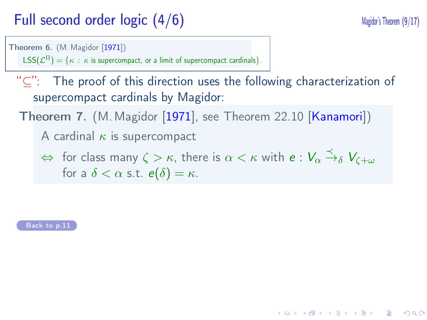#### Full second order logic  $(4/6)$  Magidor's Theorem (9/17)

Theorem 6. (M. Magidor [1971])  $\mathsf{LSS}(\mathcal{L}^{\mathrm{II}}) = \{ \kappa \, : \, \kappa \text{ is supercompact, or a limit of supercompact cardinals} \}.$ 

"*⊆*": The proof of this direction uses the following characterization of supercompact cardinals by Magidor:

Theorem 7. (M. Magidor [1971], see Theorem 22.10 [Kanamori])

A cardinal *κ* is supercompact

 $\Leftrightarrow$  for class many  $\zeta > \kappa$ , there is  $\alpha < \kappa$  with  $e: V_\alpha \stackrel{\prec}{\to}_\delta V_{\zeta + \omega}$ for a  $\delta < \alpha$  s.t.  $e(\delta) = \kappa$ .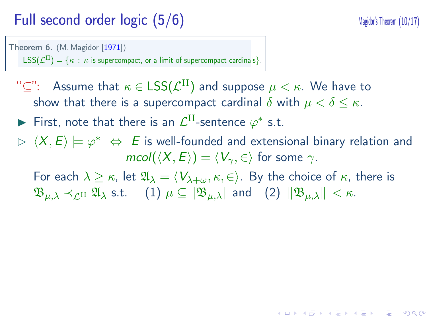#### Full second order logic (5/6) Magidor's Theorem (10/17)

Theorem 6. (M. Magidor [1971])  $\mathsf{LSS}(\mathcal{L}^{\mathrm{II}}) = \{ \kappa \, : \, \kappa \text{ is supercompact, or a limit of supercompact cardinals} \}.$ 

"*⊆*": Assume that *κ ∈* LSS(*L* II) and suppose *µ < κ*. We have to show that there is a supercompact cardinal  $\delta$  with  $\mu < \delta \leq \kappa$ .

► First, note that there is an  $\mathcal{L}^{\text{II}}$ -sentence  $\varphi^*$  s.t.

▷ *⟨X, E⟩ |*= *φ ∗ ⇔ E* is well-founded and extensional binary relation and *mcol*( $\langle X, E \rangle$ ) =  $\langle V_{\gamma}, \in \rangle$  for some  $\gamma$ . For each  $\lambda \geq \kappa$ , let  $\mathfrak{A}_{\lambda} = \langle V_{\lambda+\omega}, \kappa, \in \rangle$ . By the choice of  $\kappa$ , there is  $\mathfrak{B}_{\mu,\lambda} \prec_{\mathcal{L}^{\text{II}}} \mathfrak{A}_{\lambda} \text{ s.t.}$  (1)  $\mu \subseteq |\mathfrak{B}_{\mu,\lambda}|$  and (2)  $||\mathfrak{B}_{\mu,\lambda}|| < \kappa$ .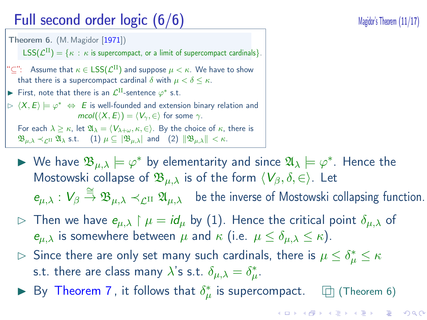### Full second order logic (6/6) Magidor's Theorem (11/17)

 $\mathsf{LSS}(\mathcal{L}^{\mathrm{II}}) = \{ \kappa \, : \, \kappa \text{ is supercompact, or a limit of supercompact cardinals} \}.$  $\text{``$\subseteq$''}:$  Assume that  $\kappa \in \textsf{LSS}(\mathcal{L}^{\text{II}})$  and suppose  $\mu < \kappa$ . We have to show that there is a supercompact cardinal  $\delta$  with  $\mu < \delta \leq \kappa$ . ► First, note that there is an  $\mathcal{L}^{\text{II}}$ -sentence  $\varphi^*$  s.t.

 $\triangleright \langle X, E \rangle \models \varphi^* \Leftrightarrow E$  is well-founded and extension binary relation and *mcol*( $\langle X, E \rangle$ ) =  $\langle V_{\gamma}, \in \rangle$  for some  $\gamma$ . For each  $\lambda \geq \kappa$ , let  $\mathfrak{A}_{\lambda} = \langle V_{\lambda+\omega}, \kappa, \in \rangle$ . By the choice of  $\kappa$ , there is  $\mathfrak{B}_{\mu,\lambda} \prec_{\mathcal{L}^{\Pi}} \mathfrak{A}_{\lambda}$  s.t. (1)  $\mu \subseteq |\mathfrak{B}_{\mu,\lambda}|$  and (2)  $||\mathfrak{B}_{\mu,\lambda}|| < \kappa$ .

Theorem 6. (M. Magidor [1971])

- ▶ We have  $\mathfrak{B}_{\mu,\lambda} \models \varphi^*$  by elementarity and since  $\mathfrak{A}_\lambda \models \varphi^*$ . Hence the Mostowski collapse of  $\mathfrak{B}_{\mu,\lambda}$  is of the form  $\langle V_\beta, \delta, \in \rangle$ . Let
- $e_{\mu,\lambda}: V_\beta \stackrel{\cong}{\to} \mathfrak{B}_{\mu,\lambda} \prec_{\mathcal{L}^{II}} \mathfrak{A}_{\mu,\lambda}$  be the inverse of Mostowski collapsing function.
- $\triangleright$  Then we have  $e_{\mu,\lambda} \upharpoonright \mu = id_{\mu}$  by (1). Hence the critical point  $\delta_{\mu,\lambda}$  of *e*<sub> $\mu, \lambda$ </sub> is somewhere between  $\mu$  and  $\kappa$  (i.e.  $\mu \leq \delta_{\mu, \lambda} \leq \kappa$ ).
- $\rhd$  Since there are only set many such cardinals, there is  $\mu \leq \delta^*_\mu \leq \kappa$ s.t. there are class many  $\lambda$ 's s.t.  $\delta_{\mu,\lambda}=\delta_{\mu}^*.$
- ▶ By Theorem 7 , it follows that  $\delta^*_\mu$  is supercompact.  $□$  (Theorem 6)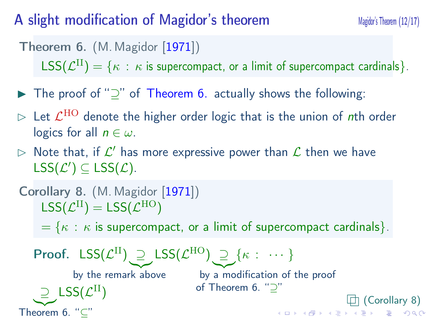#### A slight modification of Magidor's theorem Magidor Magidor Magidor Magidor Magidor 12/17)

Theorem 6. (M. Magidor [1971])

 $\mathsf{LSS}(\mathcal{L}^{\mathrm{II}}) = \{\kappa \,:\, \kappa \text{ is supercompact, or a limit of supercompact cardinals}\}.$ 

- ▶ The proof of "*⊇*" of Theorem 6. actually shows the following:
- $\triangleright$  Let  $\mathcal{L}^{\rm HO}$  denote the higher order logic that is the union of  $n$ th order logics for all  $n \in \omega$ .
- $\rhd$  Note that, if  $\mathcal{L}'$  has more expressive power than  $\mathcal L$  then we have  $\mathsf{LSS}(\mathcal{L}') \subseteq \mathsf{LSS}(\mathcal{L})$ .

```
Corollary 8. (M. Magidor [1971])
\mathsf{LSS}(\mathcal{L}^\mathrm{II}) = \mathsf{LSS}(\mathcal{L}^\mathrm{HO})= \{ \kappa : \kappa \text{ is supercompact, or a limit of supercompact cardinals} \}.
```
Proof. LSS(*L* II) *⊇* by the remark above LSS(*L* HO) *⊇* by a modification of the proof of Theorem 6. "*⊇*" *{κ* : *· · · } ⊇* LSS(*L* |{z} Theorem 6. "*⊆*" D<br>III (Corollary 8)<br>D → <∂→ < ≧ → < ≧ → ∑ → ⊙ < <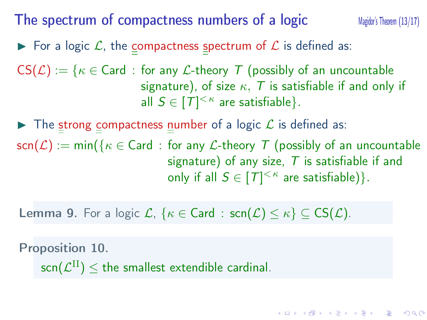#### The spectrum of compactness numbers of a logic Magidor's Theorem (13/17)

 $\blacktriangleright$  For a logic  $\mathcal{L}$ , the <u>c</u>ompactness spectrum of  $\mathcal{L}$  is defined as:

 $CS(\mathcal{L}) := \{ \kappa \in \text{Card} : \text{for any } \mathcal{L}\text{-theory } T \text{ (possibly of an uncountable }\}$ signature), of size *κ, T* is satisfiable if and only if all  $S \in [T]^{<\kappa}$  are satisfiable  $\}.$ 

▶ The strong compactness number of a logic *L* is defined as:

 $scn(\mathcal{L}) := min({\mathcal{K} \in \mathsf{Card} : \text{for any } \mathcal{L}\text{-theory } T \text{ (possibly of an uncountable)}}$ signature) of any size, *T* is satisfiable if and only if all  $S \in [T]^{< \kappa}$  are satisfiable)}.

**Lemma 9.** For a logic  $\mathcal{L}$ ,  $\{\kappa \in \text{Card} : \text{scr}(\mathcal{L}) \leq \kappa\} \subseteq \text{CS}(\mathcal{L})$ .

Proposition 10.

 $\mathsf{scn}(\mathcal{L}^{\text{II}}) \leq \mathsf{the}$  smallest extendible cardinal.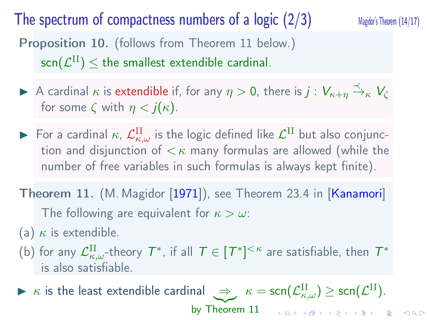#### The spectrum of compactness numbers of a logic  $(2/3)$  Magidor's Theorem  $(14/17)$

Proposition 10. (follows from Theorem 11 below.)  $\mathsf{scn}(\mathcal{L}^{\text{II}}) \leq \mathsf{the}$  smallest extendible cardinal.

- $\blacktriangleright$  A cardinal  $\kappa$  is extendible if, for any  $\eta > 0$ , there is  $j : V_{\kappa+\eta} \stackrel{\prec}{\to}_{\kappa} V_{\zeta}$ for some  $\zeta$  with  $\eta < j(\kappa)$ .
- $\blacktriangleright$  For a cardinal  $\kappa$ ,  $\mathcal{L}^{\text{II}}_{\kappa,\omega}$  is the logic defined like  $\mathcal{L}^{\text{II}}$  but also conjunction and disjunction of *< κ* many formulas are allowed (while the number of free variables in such formulas is always kept finite).
- Theorem 11. (M. Magidor [1971]), see Theorem 23.4 in [Kanamori] The following are equivalent for *κ > ω*:
- (a) *κ* is extendible.
- (b) for any  $\mathcal{L}^{\text{II}}_{\kappa,\omega}$ -theory  $\mathcal{T}^*$ , if all  $\mathcal{T} \in [\mathcal{T}^*]^{<\kappa}$  are satisfiable, then  $\mathcal{T}^*$ is also satisfiable.
- $\blacktriangleright$  *κ* is the least extendible cardinal  $\implies$   $\kappa = \textsf{scn}(\mathcal{L}^{\text{II}}_{\kappa,\omega}) \ge \textsf{scn}(\mathcal{L}^{\text{II}}).$ by Theorem 11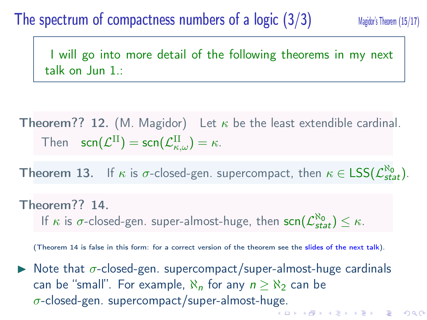#### The spectrum of compactness numbers of a  $logic$   $(3/3)$  Magidor's Theorem (15/17)

I will go into more detail of the following theorems in my next talk on Jun 1.:

Theorem?? 12. (M. Magidor) Let  $\kappa$  be the least extendible cardinal.  $\mathsf{T}$ hen  $\mathsf{scr}(\mathcal{L}^{\mathrm{II}}) = \mathsf{scr}(\mathcal{L}_{\kappa,\omega}^{\mathrm{II}}) = \kappa.$ 

**Theorem 13.** If  $\kappa$  is  $\sigma$ -closed-gen. supercompact, then  $\kappa \in \text{LSS}(\mathcal{L}^{\kappa_0}_{stat})$ .

#### Theorem?? 14.

If *κ* is *σ*-closed-gen. super-almost-huge, then  $\textsf{scn}(\mathcal{L}^{\textsf{N0}}_{\textsf{stat}}) \leq \kappa$ .

(Theorem 14 is false in this form: for a correct version of the theorem see the slides of the next talk).

 $\triangleright$  Note that  $\sigma$ -closed-gen. supercompact/super-almost-huge cardinals can be "small". For example,  $\aleph_n$  for any  $n \geq \aleph_2$  can be *σ*-closed-gen. supercompact/super-almost-huge. $\mathcal{A}(\bigoplus_{i=1}^n\mathcal{F})\mathcal{A}_i\subseteq\mathcal{F}\mathcal{F} \rightarrow \mathcal{A}(\bigoplus_{i=1}^n\mathcal{F})\mathcal{F}.$  $\Box$ 

 $2990$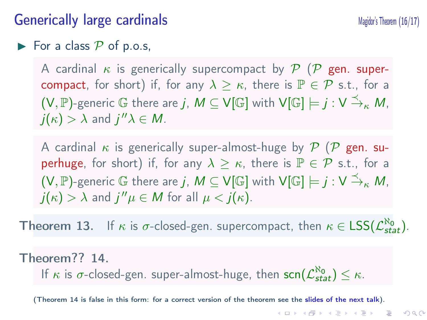#### Generically large cardinals Magidor's Theorem (16/17)

#### $\blacktriangleright$  For a class  $P$  of p.o.s,

A cardinal *κ* is generically supercompact by *P* (*P* gen. supercompact, for short) if, for any  $\lambda \geq \kappa$ , there is  $\mathbb{P} \in \mathcal{P}$  s.t., for a  $(V,\mathbb{P})$ -generic  $\mathbb G$  there are  $j$ ,  $M\subseteq V[\mathbb G]$  with  $\mathsf{V}[\mathbb G]\models j:\mathsf{V}\xrightarrow{\preceq_\kappa} M,$  $j(\kappa) > \lambda$  and  $j''\lambda \in M$ .

A cardinal *κ* is generically super-almost-huge by *P* (*P* gen. superhuge, for short) if, for any  $\lambda \geq \kappa$ , there is  $\mathbb{P} \in \mathcal{P}$  s.t., for a  $(V,\mathbb{P})$ -generic  $\mathbb G$  there are  $j$ ,  $M\subseteq V[\mathbb G]$  with  $\mathsf{V}[\mathbb G]\models j:\mathsf{V}\xrightarrow{\preceq_\kappa} M,$  $j(\kappa) > \lambda$  and  $j''\mu \in M$  for all  $\mu < j(\kappa)$ .

**Theorem 13.** If  $\kappa$  is  $\sigma$ -closed-gen. supercompact, then  $\kappa \in \text{LSS}(\mathcal{L}^{\kappa_0}_{stat})$ .

#### Theorem?? 14.

If *κ* is *σ*-closed-gen. super-almost-huge, then  $scr(\mathcal{L}^{\aleph_0}_{stat}) \leq \kappa$ .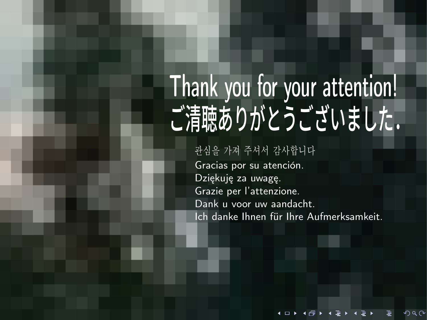#### Thank you for your attention! ご清聴ありがとうございました. <u>NALL TAR VALIK ATTANTIANI</u>  $\frac{1}{2}$ **4** 韓国語 한국어

관심을 가져 주셔서 감사합니다

**2** 中国語・簡体字 简体中文

**3** 中国語・繁体字 繁體中文

谢谢您的倾听。

Gracias por su atención. Dziękuję za uwagę. Grazie per l'attenzione. Dank u voor uw aandacht. Ich danke Ihnen für Ihre Aufmerksamkeit.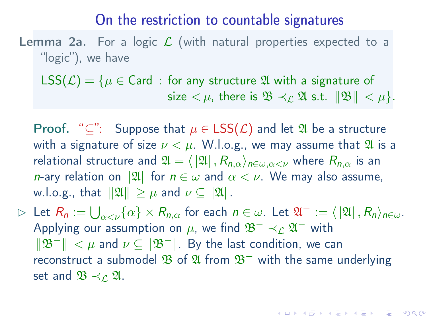#### On the restriction to countable signatures

Lemma 2a. For a logic  $\mathcal L$  (with natural properties expected to a "logic"), we have

LSS( $\mathcal{L}$ ) = { $\mu \in$  Card : for any structure  $\mathfrak A$  with a signature of size  $\lt \mu$ , there is  $\mathfrak{B} \lt \mathfrak{L} \mathfrak{A}$  s.t.  $\|\mathfrak{B}\| \lt \mu$ .

**Proof.** " $\subseteq$ ": Suppose that  $\mu \in \text{LSS}(\mathcal{L})$  and let  $\mathfrak{A}$  be a structure with a signature of size  $\nu < \mu$ . W.l.o.g., we may assume that  $\mathfrak A$  is a relational structure and  $\mathfrak{A} = \langle |\mathfrak{A}|, R_{n,\alpha} \rangle_{n \in \omega, \alpha < \nu}$  where  $R_{n,\alpha}$  is an *n*-ary relation on  $|\mathfrak{A}|$  for  $n \in \omega$  and  $\alpha < \nu$ . We may also assume, w.l.o.g., that  $||\mathfrak{A}|| \geq \mu$  and  $\nu \subseteq |\mathfrak{A}|$ .

 $\rhd$  Let  $R_n := \bigcup_{\alpha < \nu} {\{\alpha\}} \times R_{n,\alpha}$  for each  $n \in \omega$ . Let  $\mathfrak{A}^- := \langle |\mathfrak{A}|, R_n \rangle_{n \in \omega}$ . Applying our assumption on  $\mu$ , we find  $\mathfrak{B}^- \prec_{\mathcal{L}} \mathfrak{A}^-$  with *∥*B<sup>*−*</sup>*∥ < μ* and *ν* ⊆ |B<sup>*−*</sup>*|*. By the last condition, we can reconstruct a submodel B of A from B*−* with the same underlying set and  $\mathfrak{B} \prec_{\mathcal{L}} \mathfrak{A}$ .